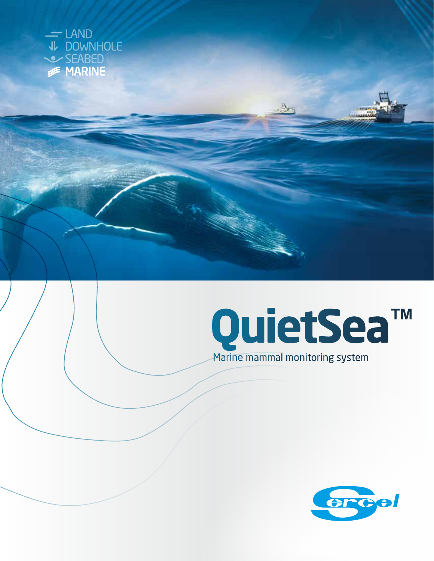



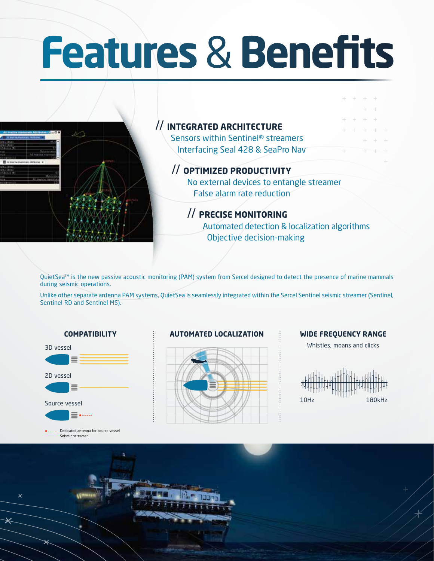# **Features** & **Benefits**



QuietSea™ is the new passive acoustic monitoring (PAM) system from Sercel designed to detect the presence of marine mammals during seismic operations.

Unlike other separate antenna PAM systems, QuietSea is seamlessly integrated within the Sercel Sentinel seismic streamer (Sentinel, Sentinel RD and Sentinel MS).





Dedicated antenna for source vessel Seismic streamer

#### **COMPATIBILITY : AUTOMATED LOCALIZATION : WIDE FREQUENCY RANGE**



Whistles, moans and clicks



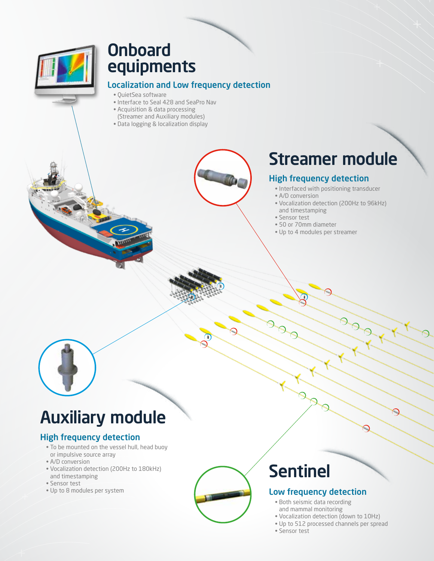### Onboard equipments

### Localization and Low frequency detection

- QuietSea software
- Interface to Seal 428 and SeaPro Nav
- Acquisition & data processing
- (Streamer and Auxiliary modules) • Data logging & localization display
- 

## Streamer module

### High frequency detection

- Interfaced with positioning transducer
- A/D conversion
- Vocalization detection (200Hz to 96kHz) and timestamping
- Sensor test
- 50 or 70mm diameter
- Up to 4 modules per streamer



### Auxiliary module

### High frequency detection

- To be mounted on the vessel hull, head buoy or impulsive source array
- A/D conversion
- Vocalization detection (200Hz to 180kHz) and timestamping
- Sensor test
- Up to 8 modules per system



## Sentinel

### Low frequency detection

- Both seismic data recording and mammal monitoring
- Vocalization detection (down to 10Hz)
- Up to 512 processed channels per spread
- Sensor test